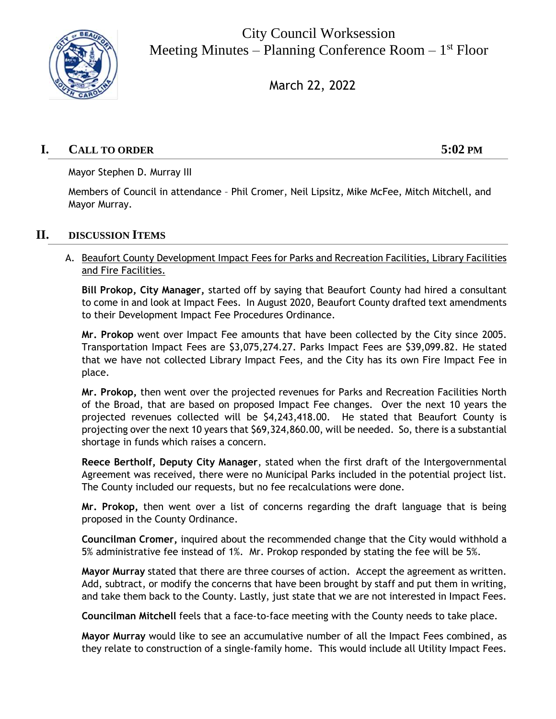

City Council Worksession Meeting Minutes – Planning Conference Room – 1<sup>st</sup> Floor

March 22, 2022

# **I. CALL TO ORDER 5:02 PM**

Mayor Stephen D. Murray III

Members of Council in attendance – Phil Cromer, Neil Lipsitz, Mike McFee, Mitch Mitchell, and Mayor Murray.

### **II. DISCUSSION ITEMS**

### A. Beaufort County Development Impact Fees for Parks and Recreation Facilities, Library Facilities and Fire Facilities.

**Bill Prokop, City Manager,** started off by saying that Beaufort County had hired a consultant to come in and look at Impact Fees. In August 2020, Beaufort County drafted text amendments to their Development Impact Fee Procedures Ordinance.

**Mr. Prokop** went over Impact Fee amounts that have been collected by the City since 2005. Transportation Impact Fees are \$3,075,274.27. Parks Impact Fees are \$39,099.82. He stated that we have not collected Library Impact Fees, and the City has its own Fire Impact Fee in place.

**Mr. Prokop,** then went over the projected revenues for Parks and Recreation Facilities North of the Broad, that are based on proposed Impact Fee changes. Over the next 10 years the projected revenues collected will be \$4,243,418.00. He stated that Beaufort County is projecting over the next 10 years that \$69,324,860.00, will be needed. So, there is a substantial shortage in funds which raises a concern.

**Reece Bertholf, Deputy City Manager**, stated when the first draft of the Intergovernmental Agreement was received, there were no Municipal Parks included in the potential project list. The County included our requests, but no fee recalculations were done.

**Mr. Prokop,** then went over a list of concerns regarding the draft language that is being proposed in the County Ordinance.

**Councilman Cromer,** inquired about the recommended change that the City would withhold a 5% administrative fee instead of 1%. Mr. Prokop responded by stating the fee will be 5%.

**Mayor Murray** stated that there are three courses of action. Accept the agreement as written. Add, subtract, or modify the concerns that have been brought by staff and put them in writing, and take them back to the County. Lastly, just state that we are not interested in Impact Fees.

**Councilman Mitchell** feels that a face-to-face meeting with the County needs to take place.

**Mayor Murray** would like to see an accumulative number of all the Impact Fees combined, as they relate to construction of a single-family home. This would include all Utility Impact Fees.